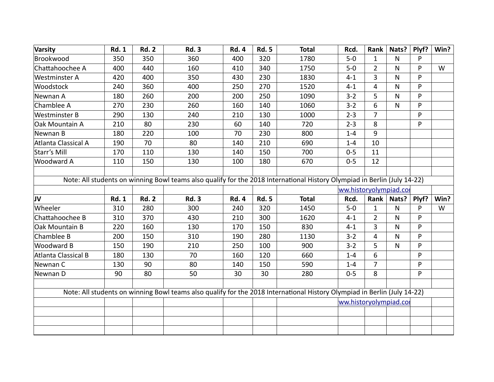| Varsity              | <b>Rd. 1</b> | <b>Rd. 2</b> | <b>Rd. 3</b> | <b>Rd. 4</b> | <b>Rd. 5</b> | <b>Total</b>                                                                                                             | Rcd.                   | Rank           | Nats? $ $    | Plyf? | Win? |
|----------------------|--------------|--------------|--------------|--------------|--------------|--------------------------------------------------------------------------------------------------------------------------|------------------------|----------------|--------------|-------|------|
| Brookwood            | 350          | 350          | 360          | 400          | 320          | 1780                                                                                                                     | $5-0$                  | $\mathbf{1}$   | $\mathsf{N}$ | P     |      |
| Chattahoochee A      | 400          | 440          | 160          | 410          | 340          | 1750                                                                                                                     | $5-0$                  | $\overline{2}$ | N            | P     | W    |
| Westminster A        | 420          | 400          | 350          | 430          | 230          | 1830                                                                                                                     | $4 - 1$                | 3              | $\mathsf{N}$ | P     |      |
| Woodstock            | 240          | 360          | 400          | 250          | 270          | 1520                                                                                                                     | $4 - 1$                | $\overline{4}$ | $\mathsf{N}$ | P     |      |
| Newnan A             | 180          | 260          | 200          | 200          | 250          | 1090                                                                                                                     | $3 - 2$                | 5              | N            | P     |      |
| Chamblee A           | 270          | 230          | 260          | 160          | 140          | 1060                                                                                                                     | $3 - 2$                | 6              | $\mathsf{N}$ | P     |      |
| <b>Westminster B</b> | 290          | 130          | 240          | 210          | 130          | 1000                                                                                                                     | $2 - 3$                | $\overline{7}$ |              | P     |      |
| Oak Mountain A       | 210          | 80           | 230          | 60           | 140          | 720                                                                                                                      | $2 - 3$                | 8              |              | P     |      |
| Newnan B             | 180          | 220          | 100          | 70           | 230          | 800                                                                                                                      | $1 - 4$                | 9              |              |       |      |
| Atlanta Classical A  | 190          | 70           | 80           | 140          | 210          | 690                                                                                                                      | $1 - 4$                | 10             |              |       |      |
| Starr's Mill         | 170          | 110          | 130          | 140          | 150          | 700                                                                                                                      | $0 - 5$                | 11             |              |       |      |
| Woodward A           | 110          | 150          | 130          | 100          | 180          | 670                                                                                                                      | $0 - 5$                | 12             |              |       |      |
|                      |              |              |              |              |              |                                                                                                                          |                        |                |              |       |      |
|                      |              |              |              |              |              | Note: All students on winning Bowl teams also qualify for the 2018 International History Olympiad in Berlin (July 14-22) |                        |                |              |       |      |
|                      |              |              |              |              |              |                                                                                                                          | ww.historyolympiad.col |                |              |       |      |
| JV                   | <b>Rd. 1</b> | <b>Rd. 2</b> | <b>Rd. 3</b> | <b>Rd. 4</b> | <b>Rd. 5</b> | <b>Total</b>                                                                                                             | Rcd.                   | Rank           | Nats?        | Plyf? | Win? |
| Wheeler              | 310          | 280          | 300          | 240          | 320          | 1450                                                                                                                     | $5 - 0$                | $\mathbf{1}$   | $\mathsf{N}$ | P     | W    |
| Chattahoochee B      | 310          | 370          | 430          | 210          | 300          | 1620                                                                                                                     | $4 - 1$                | $\overline{2}$ | $\mathsf{N}$ | P     |      |
| Oak Mountain B       | 220          | 160          | 130          | 170          | 150          | 830                                                                                                                      | $4 - 1$                | $\overline{3}$ | $\mathsf{N}$ | P     |      |
| Chamblee B           | 200          | 150          | 310          | 190          | 280          | 1130                                                                                                                     | $3 - 2$                | 4              | $\mathsf{N}$ | P     |      |
| Woodward B           | 150          | 190          | 210          | 250          | 100          | 900                                                                                                                      | $3 - 2$                | 5              | $\mathsf{N}$ | P     |      |
| Atlanta Classical B  | 180          | 130          | 70           | 160          | 120          | 660                                                                                                                      | $1 - 4$                | 6              |              | P     |      |
| Newnan C             | 130          | 90           | 80           | 140          | 150          | 590                                                                                                                      | $1 - 4$                | $\overline{7}$ |              | P     |      |
| Newnan D             | 90           | 80           | 50           | 30           | 30           | 280                                                                                                                      | $0 - 5$                | 8              |              | P     |      |
|                      |              |              |              |              |              |                                                                                                                          |                        |                |              |       |      |
|                      |              |              |              |              |              | Note: All students on winning Bowl teams also qualify for the 2018 International History Olympiad in Berlin (July 14-22) |                        |                |              |       |      |
|                      |              |              |              |              |              |                                                                                                                          | ww.historyolympiad.col |                |              |       |      |
|                      |              |              |              |              |              |                                                                                                                          |                        |                |              |       |      |
|                      |              |              |              |              |              |                                                                                                                          |                        |                |              |       |      |
|                      |              |              |              |              |              |                                                                                                                          |                        |                |              |       |      |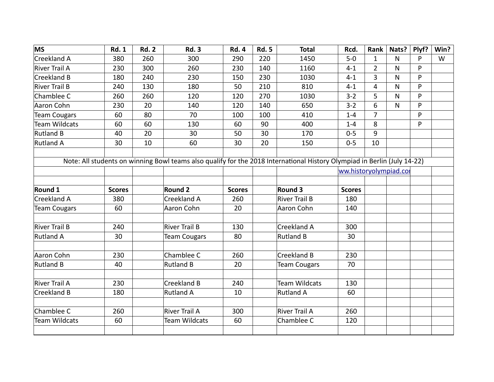| <b>MS</b>            | <b>Rd. 1</b>  | <b>Rd. 2</b> | <b>Rd. 3</b>         | <b>Rd. 4</b>  | <b>Rd. 5</b> | <b>Total</b>                                                                                                             | Rcd.          | Rank           | Nats?        | Plyf? | Win? |
|----------------------|---------------|--------------|----------------------|---------------|--------------|--------------------------------------------------------------------------------------------------------------------------|---------------|----------------|--------------|-------|------|
| Creekland A          | 380           | 260          | 300                  | 290           | 220          | 1450                                                                                                                     | $5-0$         | $\mathbf{1}$   | $\mathsf{N}$ | P     | W    |
| River Trail A        | 230           | 300          | 260                  | 230           | 140          | 1160                                                                                                                     | $4 - 1$       | $\overline{2}$ | N            | P     |      |
| Creekland B          | 180           | 240          | 230                  | 150           | 230          | 1030                                                                                                                     | $4 - 1$       | $\overline{3}$ | N            | P     |      |
| River Trail B        | 240           | 130          | 180                  | 50            | 210          | 810                                                                                                                      | $4 - 1$       | $\overline{4}$ | N            | P     |      |
| Chamblee C           | 260           | 260          | 120                  | 120           | 270          | 1030                                                                                                                     | $3 - 2$       | 5              | N            | P     |      |
| Aaron Cohn           | 230           | 20           | 140                  | 120           | 140          | 650                                                                                                                      | $3 - 2$       | 6              | $\mathsf{N}$ | P     |      |
| <b>Team Cougars</b>  | 60            | 80           | 70                   | 100           | 100          | 410                                                                                                                      | $1 - 4$       | 7              |              | P     |      |
| <b>Team Wildcats</b> | 60            | 60           | 130                  | 60            | 90           | 400                                                                                                                      | $1 - 4$       | 8              |              | P     |      |
| Rutland B            | 40            | 20           | 30                   | 50            | 30           | 170                                                                                                                      | $0 - 5$       | 9              |              |       |      |
| Rutland A            | 30            | 10           | 60                   | 30            | 20           | 150                                                                                                                      | $0 - 5$       | 10             |              |       |      |
|                      |               |              |                      |               |              |                                                                                                                          |               |                |              |       |      |
|                      |               |              |                      |               |              | Note: All students on winning Bowl teams also qualify for the 2018 International History Olympiad in Berlin (July 14-22) |               |                |              |       |      |
|                      |               |              |                      |               |              | ww.historyolympiad.col                                                                                                   |               |                |              |       |      |
| Round 1              | <b>Scores</b> |              | <b>Round 2</b>       | <b>Scores</b> |              | Round 3                                                                                                                  | <b>Scores</b> |                |              |       |      |
| Creekland A          | 380           |              | Creekland A          | 260           |              | River Trail B                                                                                                            | 180           |                |              |       |      |
| <b>Team Cougars</b>  | 60            |              | Aaron Cohn           | 20            |              | Aaron Cohn                                                                                                               | 140           |                |              |       |      |
|                      |               |              |                      |               |              |                                                                                                                          |               |                |              |       |      |
| River Trail B        | 240           |              | <b>River Trail B</b> | 130           |              | Creekland A                                                                                                              | 300           |                |              |       |      |
| <b>Rutland A</b>     | 30            |              | <b>Team Cougars</b>  | 80            |              | <b>Rutland B</b>                                                                                                         | 30            |                |              |       |      |
|                      |               |              |                      |               |              |                                                                                                                          |               |                |              |       |      |
| Aaron Cohn           | 230           |              | Chamblee C           | 260           |              | Creekland B                                                                                                              | 230           |                |              |       |      |
| Rutland B            | 40            |              | <b>Rutland B</b>     | 20            |              | <b>Team Cougars</b>                                                                                                      | 70            |                |              |       |      |
|                      |               |              |                      |               |              |                                                                                                                          |               |                |              |       |      |
| River Trail A        | 230           |              | Creekland B          | 240           |              | <b>Team Wildcats</b>                                                                                                     | 130           |                |              |       |      |
| Creekland B          | 180           |              | <b>Rutland A</b>     | 10            |              | Rutland A                                                                                                                | 60            |                |              |       |      |
|                      |               |              |                      |               |              |                                                                                                                          |               |                |              |       |      |
| Chamblee C           | 260           |              | <b>River Trail A</b> | 300           |              | River Trail A                                                                                                            | 260           |                |              |       |      |
| Team Wildcats        | 60            |              | Team Wildcats        | 60            |              | Chamblee C                                                                                                               | 120           |                |              |       |      |
|                      |               |              |                      |               |              |                                                                                                                          |               |                |              |       |      |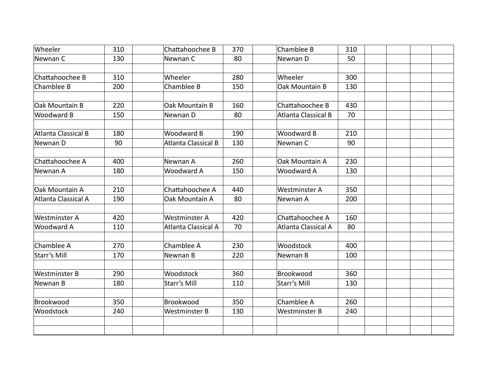| Wheeler              | 310 | Chattahoochee B      | 370 | Chamblee B           | 310 |  |  |
|----------------------|-----|----------------------|-----|----------------------|-----|--|--|
| Newnan C             | 130 | Newnan C             | 80  | Newnan D             | 50  |  |  |
|                      |     |                      |     |                      |     |  |  |
| Chattahoochee B      | 310 | Wheeler              | 280 | Wheeler              | 300 |  |  |
| Chamblee B           | 200 | Chamblee B           | 150 | Oak Mountain B       | 130 |  |  |
| Oak Mountain B       | 220 | Oak Mountain B       | 160 | Chattahoochee B      | 430 |  |  |
| Woodward B           | 150 | Newnan D             | 80  | Atlanta Classical B  | 70  |  |  |
| Atlanta Classical B  | 180 | Woodward B           | 190 | Woodward B           | 210 |  |  |
| Newnan D             | 90  | Atlanta Classical B  | 130 | Newnan C             | 90  |  |  |
|                      | 400 |                      |     | Oak Mountain A       |     |  |  |
| Chattahoochee A      |     | Newnan A             | 260 |                      | 230 |  |  |
| Newnan A             | 180 | Woodward A           | 150 | Woodward A           | 130 |  |  |
| Oak Mountain A       | 210 | Chattahoochee A      | 440 | Westminster A        | 350 |  |  |
| Atlanta Classical A  | 190 | Oak Mountain A       | 80  | Newnan A             | 200 |  |  |
| <b>Westminster A</b> | 420 | Westminster A        | 420 | Chattahoochee A      | 160 |  |  |
| Woodward A           | 110 | Atlanta Classical A  | 70  | Atlanta Classical A  | 80  |  |  |
| Chamblee A           | 270 | Chamblee A           | 230 | Woodstock            | 400 |  |  |
|                      |     |                      |     |                      |     |  |  |
| Starr's Mill         | 170 | Newnan B             | 220 | Newnan B             | 100 |  |  |
| <b>Westminster B</b> | 290 | Woodstock            | 360 | Brookwood            | 360 |  |  |
| Newnan B             | 180 | Starr's Mill         | 110 | Starr's Mill         | 130 |  |  |
| Brookwood            | 350 | Brookwood            | 350 | Chamblee A           | 260 |  |  |
| Woodstock            | 240 | <b>Westminster B</b> | 130 | <b>Westminster B</b> | 240 |  |  |
|                      |     |                      |     |                      |     |  |  |
|                      |     |                      |     |                      |     |  |  |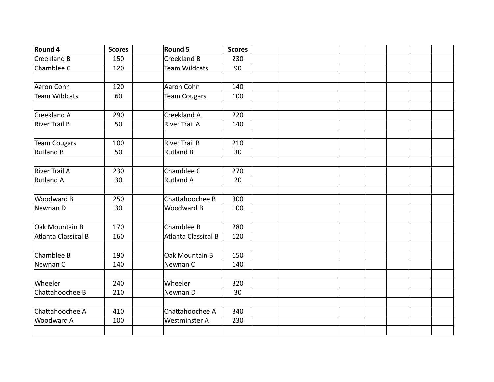| Round 4              | <b>Scores</b> | <b>Round 5</b>             | <b>Scores</b> |  |  |  |  |
|----------------------|---------------|----------------------------|---------------|--|--|--|--|
| Creekland B          | 150           | Creekland B                | 230           |  |  |  |  |
| Chamblee C           | 120           | <b>Team Wildcats</b>       | 90            |  |  |  |  |
|                      |               |                            |               |  |  |  |  |
| Aaron Cohn           | 120           | Aaron Cohn                 | 140           |  |  |  |  |
| <b>Team Wildcats</b> | 60            | <b>Team Cougars</b>        | 100           |  |  |  |  |
|                      |               |                            |               |  |  |  |  |
| Creekland A          | 290           | Creekland A                | 220           |  |  |  |  |
| <b>River Trail B</b> | 50            | <b>River Trail A</b>       | 140           |  |  |  |  |
|                      |               |                            |               |  |  |  |  |
| <b>Team Cougars</b>  | 100           | <b>River Trail B</b>       | 210           |  |  |  |  |
| <b>Rutland B</b>     | 50            | <b>Rutland B</b>           | 30            |  |  |  |  |
|                      |               |                            |               |  |  |  |  |
| River Trail A        | 230           | Chamblee C                 | 270           |  |  |  |  |
| <b>Rutland A</b>     | 30            | <b>Rutland A</b>           | 20            |  |  |  |  |
|                      |               |                            |               |  |  |  |  |
| Woodward B           | 250           | Chattahoochee B            | 300           |  |  |  |  |
| Newnan D             | 30            | Woodward B                 | 100           |  |  |  |  |
|                      |               |                            |               |  |  |  |  |
| Oak Mountain B       | 170           | Chamblee B                 | 280           |  |  |  |  |
| Atlanta Classical B  | 160           | <b>Atlanta Classical B</b> | 120           |  |  |  |  |
|                      |               |                            |               |  |  |  |  |
| Chamblee B           | 190           | Oak Mountain B             | 150           |  |  |  |  |
| Newnan C             | 140           | Newnan C                   | 140           |  |  |  |  |
|                      |               |                            |               |  |  |  |  |
| Wheeler              | 240           | Wheeler                    | 320           |  |  |  |  |
| Chattahoochee B      | 210           | Newnan D                   | 30            |  |  |  |  |
|                      |               |                            |               |  |  |  |  |
| Chattahoochee A      | 410           | Chattahoochee A            | 340           |  |  |  |  |
| Woodward A           | 100           | Westminster A              | 230           |  |  |  |  |
|                      |               |                            |               |  |  |  |  |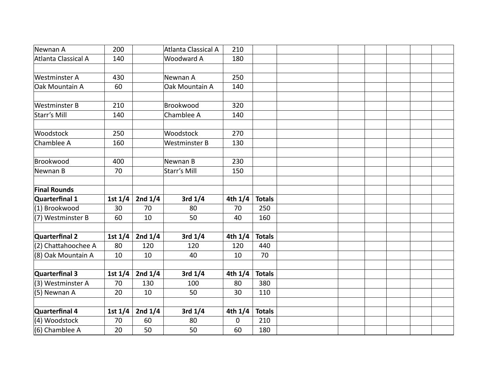| Newnan A             | 200       |           | Atlanta Classical A  | 210       |               |  |  |
|----------------------|-----------|-----------|----------------------|-----------|---------------|--|--|
| Atlanta Classical A  | 140       |           | Woodward A           | 180       |               |  |  |
|                      |           |           |                      |           |               |  |  |
| <b>Westminster A</b> | 430       |           | Newnan A             | 250       |               |  |  |
| Oak Mountain A       | 60        |           | Oak Mountain A       | 140       |               |  |  |
|                      |           |           |                      |           |               |  |  |
| <b>Westminster B</b> | 210       |           | Brookwood            | 320       |               |  |  |
| Starr's Mill         | 140       |           | Chamblee A           | 140       |               |  |  |
|                      |           |           |                      |           |               |  |  |
| Woodstock            | 250       |           | Woodstock            | 270       |               |  |  |
| Chamblee A           | 160       |           | <b>Westminster B</b> | 130       |               |  |  |
| Brookwood            | 400       |           | Newnan B             | 230       |               |  |  |
| Newnan B             | 70        |           | Starr's Mill         | 150       |               |  |  |
|                      |           |           |                      |           |               |  |  |
| <b>Final Rounds</b>  |           |           |                      |           |               |  |  |
| Quarterfinal 1       | 1st $1/4$ | 2nd $1/4$ | 3rd $1/4$            | 4th $1/4$ | <b>Totals</b> |  |  |
| (1) Brookwood        | 30        | 70        | 80                   | 70        | 250           |  |  |
| (7) Westminster B    | 60        | 10        | 50                   | 40        | 160           |  |  |
|                      |           |           |                      |           |               |  |  |
| Quarterfinal 2       | 1st $1/4$ | 2nd $1/4$ | 3rd $1/4$            | 4th $1/4$ | <b>Totals</b> |  |  |
| (2) Chattahoochee A  | 80        | 120       | 120                  | 120       | 440           |  |  |
| (8) Oak Mountain A   | 10        | 10        | 40                   | 10        | 70            |  |  |
|                      |           |           |                      |           |               |  |  |
| Quarterfinal 3       | 1st $1/4$ | 2nd $1/4$ | 3rd $1/4$            | 4th $1/4$ | <b>Totals</b> |  |  |
| (3) Westminster A    | 70        | 130       | 100                  | 80        | 380           |  |  |
| (5) Newnan A         | 20        | 10        | 50                   | 30        | 110           |  |  |
| Quarterfinal 4       |           |           |                      |           | <b>Totals</b> |  |  |
|                      | 1st $1/4$ | 2nd $1/4$ | 3rd $1/4$            | 4th $1/4$ |               |  |  |
| (4) Woodstock        | 70        | 60        | 80                   | 0         | 210           |  |  |
| (6) Chamblee A       | 20        | 50        | 50                   | 60        | 180           |  |  |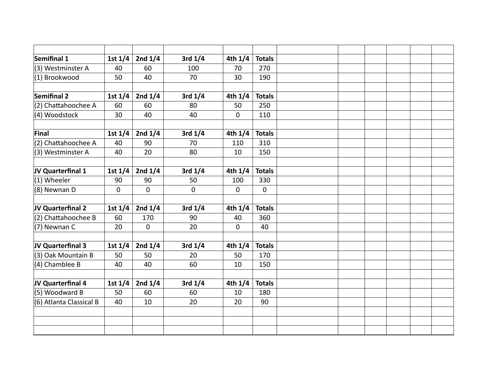| Semifinal 1             | 1st $1/4$   | 2nd $1/4$   | 3rd $1/4$ | 4th $1/4$   | <b>Totals</b> |  |  |
|-------------------------|-------------|-------------|-----------|-------------|---------------|--|--|
| (3) Westminster A       | 40          | 60          | 100       | 70          | 270           |  |  |
| (1) Brookwood           | 50          | 40          | 70        | 30          | 190           |  |  |
|                         |             |             |           |             |               |  |  |
| <b>Semifinal 2</b>      | 1st $1/4$   | 2nd $1/4$   | 3rd $1/4$ | 4th $1/4$   | <b>Totals</b> |  |  |
| (2) Chattahoochee A     | 60          | 60          | 80        | 50          | 250           |  |  |
| (4) Woodstock           | 30          | 40          | 40        | $\mathbf 0$ | 110           |  |  |
|                         |             |             |           |             |               |  |  |
| Final                   | 1st $1/4$   | 2nd $1/4$   | 3rd $1/4$ | 4th 1/4     | <b>Totals</b> |  |  |
| (2) Chattahoochee A     | 40          | 90          | 70        | 110         | 310           |  |  |
| (3) Westminster A       | 40          | 20          | 80        | 10          | 150           |  |  |
|                         |             |             |           |             |               |  |  |
| JV Quarterfinal 1       | 1st $1/4$   | 2nd $1/4$   | 3rd $1/4$ | 4th 1/4     | <b>Totals</b> |  |  |
| (1) Wheeler             | 90          | 90          | 50        | 100         | 330           |  |  |
| (8) Newnan D            | $\mathbf 0$ | $\mathbf 0$ | 0         | $\mathbf 0$ | $\mathbf 0$   |  |  |
|                         |             |             |           |             |               |  |  |
| JV Quarterfinal 2       | 1st $1/4$   | 2nd $1/4$   | 3rd $1/4$ | 4th 1/4     | <b>Totals</b> |  |  |
| (2) Chattahoochee B     | 60          | 170         | 90        | 40          | 360           |  |  |
| (7) Newnan C            | 20          | 0           | 20        | 0           | 40            |  |  |
|                         |             |             |           |             |               |  |  |
| JV Quarterfinal 3       | 1st $1/4$   | 2nd $1/4$   | 3rd $1/4$ | 4th $1/4$   | <b>Totals</b> |  |  |
| (3) Oak Mountain B      | 50          | 50          | 20        | 50          | 170           |  |  |
| (4) Chamblee B          | 40          | 40          | 60        | 10          | 150           |  |  |
|                         |             |             |           |             |               |  |  |
| JV Quarterfinal 4       | 1st $1/4$   | 2nd $1/4$   | 3rd $1/4$ | 4th 1/4     | <b>Totals</b> |  |  |
| (5) Woodward B          | 50          | 60          | 60        | 10          | 180           |  |  |
| (6) Atlanta Classical B | 40          | 10          | 20        | 20          | 90            |  |  |
|                         |             |             |           |             |               |  |  |
|                         |             |             |           |             |               |  |  |
|                         |             |             |           |             |               |  |  |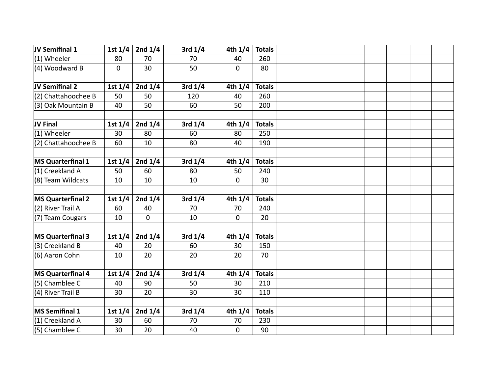| JV Semifinal 1           | 1st $1/4$ | 2nd $1/4$ | 3rd $1/4$   | 4th $1/4$   | <b>Totals</b> |  |  |  |
|--------------------------|-----------|-----------|-------------|-------------|---------------|--|--|--|
| $(1)$ Wheeler            | 80        | 70        | 70          | 40          | 260           |  |  |  |
| (4) Woodward B           | 0         | 30        | 50          | 0           | 80            |  |  |  |
|                          |           |           |             |             |               |  |  |  |
| JV Semifinal 2           | 1st $1/4$ | 2nd $1/4$ | 3rd $1/4$   | 4th $1/4$   | <b>Totals</b> |  |  |  |
| (2) Chattahoochee B      | 50        | 50        | 120         | 40          | 260           |  |  |  |
| (3) Oak Mountain B       | 40        | 50        | 60          | 50          | 200           |  |  |  |
|                          |           |           |             |             |               |  |  |  |
| JV Final                 | 1st $1/4$ | 2nd $1/4$ | 3rd $1/4$   | 4th $1/4$   | <b>Totals</b> |  |  |  |
| $(1)$ Wheeler            | 30        | 80        | 60          | 80          | 250           |  |  |  |
| (2) Chattahoochee B      | 60        | 10        | 80          | 40          | 190           |  |  |  |
|                          |           |           |             |             |               |  |  |  |
| MS Quarterfinal 1        | 1st $1/4$ | 2nd $1/4$ | 3rd $1/4$   | 4th $1/4$   | <b>Totals</b> |  |  |  |
| (1) Creekland A          | 50        | 60        | 80          | 50          | 240           |  |  |  |
| (8) Team Wildcats        | 10        | 10        | 10          | $\mathbf 0$ | 30            |  |  |  |
|                          |           |           |             |             |               |  |  |  |
| <b>MS Quarterfinal 2</b> | 1st $1/4$ | 2nd $1/4$ | 3rd $1/4$   | 4th $1/4$   | <b>Totals</b> |  |  |  |
| (2) River Trail A        | 60        | 40        | 70          | 70          | 240           |  |  |  |
| (7) Team Cougars         | 10        | 0         | 10          | 0           | 20            |  |  |  |
|                          |           |           |             |             |               |  |  |  |
| <b>MS Quarterfinal 3</b> | 1st $1/4$ | 2nd $1/4$ | $3rd$ $1/4$ | 4th $1/4$   | <b>Totals</b> |  |  |  |
| (3) Creekland B          | 40        | 20        | 60          | 30          | 150           |  |  |  |
| (6) Aaron Cohn           | 10        | 20        | 20          | 20          | 70            |  |  |  |
|                          |           |           |             |             |               |  |  |  |
| <b>MS Quarterfinal 4</b> | 1st $1/4$ | 2nd $1/4$ | 3rd $1/4$   | 4th $1/4$   | <b>Totals</b> |  |  |  |
| $(5)$ Chamblee C         | 40        | 90        | 50          | 30          | 210           |  |  |  |
| (4) River Trail B        | 30        | 20        | 30          | 30          | 110           |  |  |  |
|                          |           |           |             |             |               |  |  |  |
| MS Semifinal 1           | 1st $1/4$ | 2nd $1/4$ | 3rd $1/4$   | 4th $1/4$   | <b>Totals</b> |  |  |  |
| (1) Creekland A          | 30        | 60        | 70          | 70          | 230           |  |  |  |
| $(5)$ Chamblee C         | 30        | 20        | 40          | $\mathbf 0$ | 90            |  |  |  |